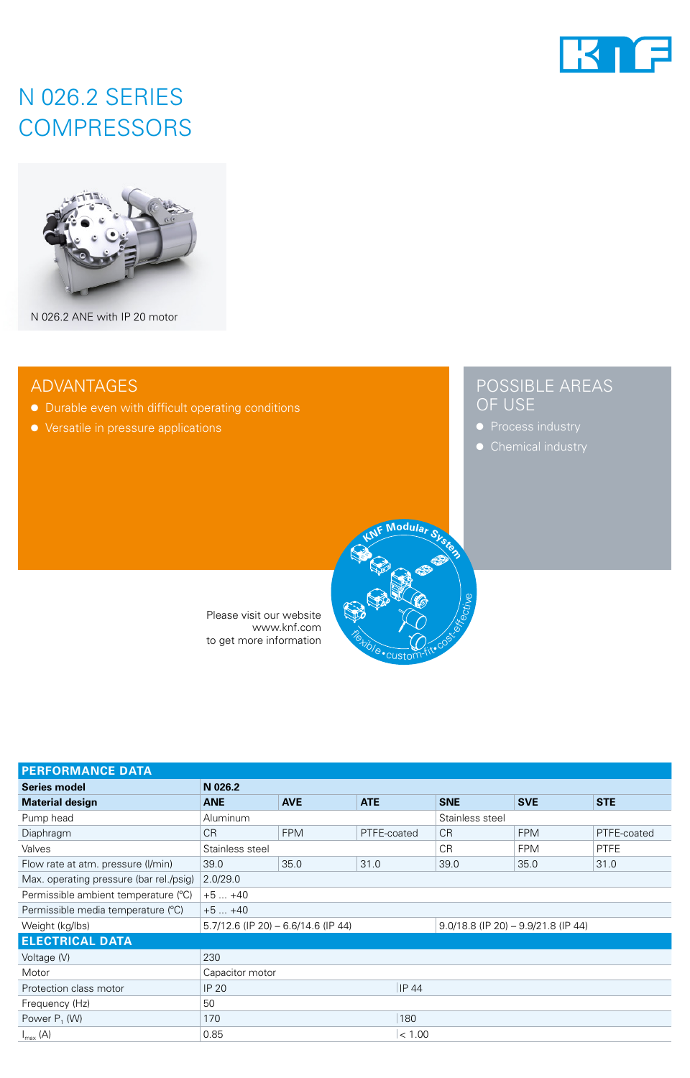

# N 026.2 SERIES **COMPRESSORS**



N 026.2 ANE with IP 20 motor

## ADVANTAGES

- Durable even with difficult operating conditions
- Versatile in pressure applications

## POSSIBLE AREAS OF USE

- 
- 



Please visit our website www.knf.com to get more information

| <b>PERFORMANCE DATA</b>                 |                 |                                       |              |                 |                                        |             |  |
|-----------------------------------------|-----------------|---------------------------------------|--------------|-----------------|----------------------------------------|-------------|--|
| <b>Series model</b>                     | N 026.2         |                                       |              |                 |                                        |             |  |
| <b>Material design</b>                  | <b>ANE</b>      | <b>AVE</b>                            | <b>ATE</b>   | <b>SNE</b>      | <b>SVE</b>                             | <b>STE</b>  |  |
| Pump head                               | <b>Aluminum</b> |                                       |              | Stainless steel |                                        |             |  |
| Diaphragm                               | <b>CR</b>       | <b>FPM</b>                            | PTFE-coated  | <b>CR</b>       | <b>FPM</b>                             | PTFE-coated |  |
| Valves                                  | Stainless steel |                                       |              | <b>CR</b>       | <b>FPM</b>                             | <b>PTFE</b> |  |
| Flow rate at atm. pressure (I/min)      | 39.0            | 35.0                                  | 31.0         | 39.0            | 35.0                                   | 31.0        |  |
| Max. operating pressure (bar rel./psig) | 2.0/29.0        |                                       |              |                 |                                        |             |  |
| Permissible ambient temperature (°C)    | $+5+40$         |                                       |              |                 |                                        |             |  |
| Permissible media temperature (°C)      | $+5+40$         |                                       |              |                 |                                        |             |  |
| Weight (kg/lbs)                         |                 | $5.7/12.6$ (IP 20) - 6.6/14.6 (IP 44) |              |                 | $9.0/18.8$ (IP 20) $-9.9/21.8$ (IP 44) |             |  |
| <b>ELECTRICAL DATA</b>                  |                 |                                       |              |                 |                                        |             |  |
| Voltage (V)                             | 230             |                                       |              |                 |                                        |             |  |
| Motor                                   | Capacitor motor |                                       |              |                 |                                        |             |  |
| Protection class motor                  | <b>IP 20</b>    |                                       | <b>IP 44</b> |                 |                                        |             |  |
| Frequency (Hz)                          | 50              |                                       |              |                 |                                        |             |  |
| Power $P_1$ (W)                         | 170             |                                       | 180          |                 |                                        |             |  |
| $I_{\text{max}}(A)$                     | 0.85            |                                       | < 1.00       |                 |                                        |             |  |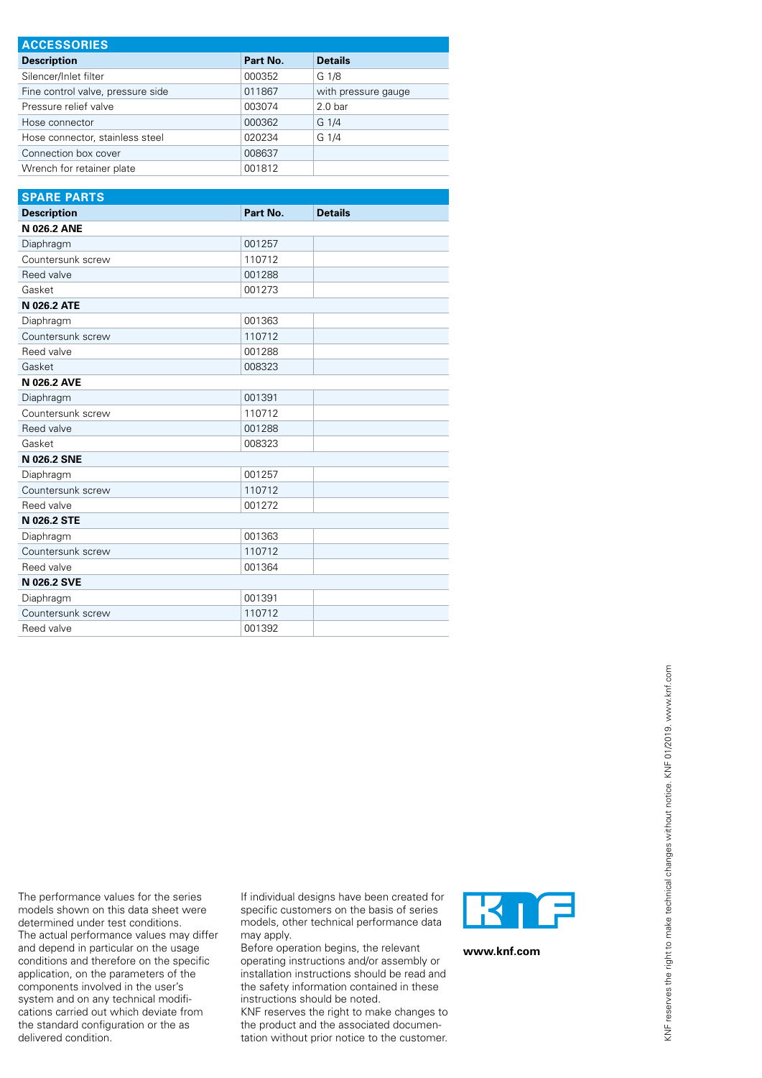| <b>ACCESSORIES</b>                |          |                     |  |  |  |  |
|-----------------------------------|----------|---------------------|--|--|--|--|
| <b>Description</b>                | Part No. | <b>Details</b>      |  |  |  |  |
| Silencer/Inlet filter             | 000352   | G 1/8               |  |  |  |  |
| Fine control valve, pressure side | 011867   | with pressure gauge |  |  |  |  |
| Pressure relief valve             | 003074   | 2.0 <sub>bar</sub>  |  |  |  |  |
| Hose connector                    | 000362   | G 1/4               |  |  |  |  |
| Hose connector, stainless steel   | 020234   | $G_1/4$             |  |  |  |  |
| Connection box cover              | 008637   |                     |  |  |  |  |
| Wrench for retainer plate         | 001812   |                     |  |  |  |  |

| <b>SPARE PARTS</b> |          |                |  |  |  |  |
|--------------------|----------|----------------|--|--|--|--|
| <b>Description</b> | Part No. | <b>Details</b> |  |  |  |  |
| <b>N 026.2 ANE</b> |          |                |  |  |  |  |
| Diaphragm          | 001257   |                |  |  |  |  |
| Countersunk screw  | 110712   |                |  |  |  |  |
| Reed valve         | 001288   |                |  |  |  |  |
| Gasket             | 001273   |                |  |  |  |  |
| <b>N 026.2 ATE</b> |          |                |  |  |  |  |
| Diaphragm          | 001363   |                |  |  |  |  |
| Countersunk screw  | 110712   |                |  |  |  |  |
| Reed valve         | 001288   |                |  |  |  |  |
| Gasket             | 008323   |                |  |  |  |  |
| <b>N 026.2 AVE</b> |          |                |  |  |  |  |
| Diaphragm          | 001391   |                |  |  |  |  |
| Countersunk screw  | 110712   |                |  |  |  |  |
| Reed valve         | 001288   |                |  |  |  |  |
| Gasket             | 008323   |                |  |  |  |  |
| <b>N 026.2 SNE</b> |          |                |  |  |  |  |
| Diaphragm          | 001257   |                |  |  |  |  |
| Countersunk screw  | 110712   |                |  |  |  |  |
| Reed valve         | 001272   |                |  |  |  |  |
| N 026.2 STE        |          |                |  |  |  |  |
| Diaphragm          | 001363   |                |  |  |  |  |
| Countersunk screw  | 110712   |                |  |  |  |  |
| Reed valve         | 001364   |                |  |  |  |  |
| <b>N 026.2 SVE</b> |          |                |  |  |  |  |
| Diaphragm          | 001391   |                |  |  |  |  |
| Countersunk screw  | 110712   |                |  |  |  |  |
| Reed valve         | 001392   |                |  |  |  |  |

The performance values for the series models shown on this data sheet were determined under test conditions. The actual performance values may differ and depend in particular on the usage conditions and therefore on the specific application, on the parameters of the components involved in the user's system and on any technical modifications carried out which deviate from the standard configuration or the as delivered condition.

If individual designs have been created for specific customers on the basis of series models, other technical performance data may apply.

Before operation begins, the relevant operating instructions and/or assembly or installation instructions should be read and the safety information contained in these instructions should be noted.

KNF reserves the right to make changes to the product and the associated documentation without prior notice to the customer.



**www.knf.com**